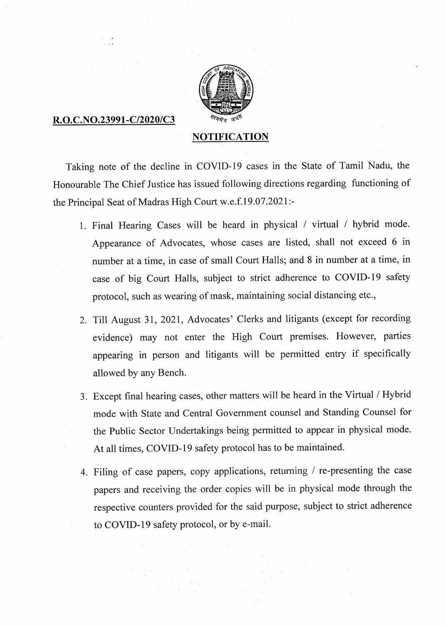

## R.O.C.NO.23991-C/2020/C3

## **NOTIFICATION**

Taking note of the decline in COVID-19 cases in the State of Tamil Nadu, the Honourable The Chief Justice has issued following directions regarding functioning of the Principal Seat of Madras High Court w.e.f.19.07.2021:-

- Final Hearing Cases will be heard in physical / virtual / hybrid mode. Appearance of Advocates, whose cases are listed, shall not exceed 6 in number at a time, in case of small Court Halls; and 8 in number at a time, in case of big Court Halls, subject to strict adherence to COVID-19 safety protocol, such as wearing of mask, maintaining social distancing etc.,
- 2. Till August 31, 2021, Advocates' Clerks and litigants (except for recording evidence) may not enter the High Court premises. However, parties appearing in person and litigants will be permitted entry if specifically allowed by any Bench.
- Except final hearing cases, other matters will be heard in the Virtual / Hybrid mode with State and Central Government counsel and Standing Counsel for the Public Sector Undertakings being permitted to appear in physical mode. At all times, COVID-19 safety protocol has to be maintained.
- Filing of case papers, copy applications, returning / re-presenting the case papers and receiving the order copies will be in physical mode through the respective counters provided for the said purpose, subject to strict adherence to COVID-19 safety protocol, or by e-mail.